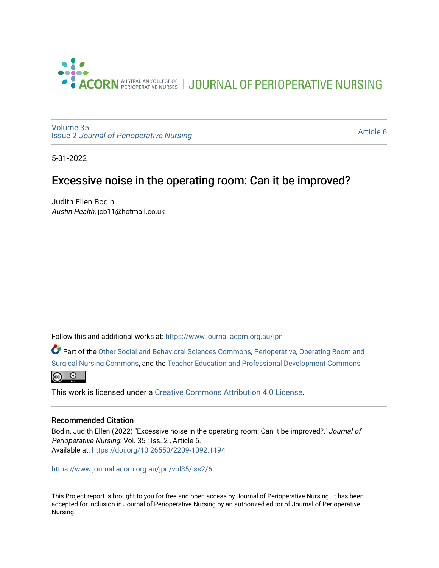

JOURNAL OF PERIOPERATIVE NURSING

[Volume 35](https://www.journal.acorn.org.au/jpn/vol35) Issue 2 [Journal of Perioperative Nursing](https://www.journal.acorn.org.au/jpn/vol35/iss2)

[Article 6](https://www.journal.acorn.org.au/jpn/vol35/iss2/6) 

5-31-2022

# Excessive noise in the operating room: Can it be improved?

Judith Ellen Bodin Austin Health, jcb11@hotmail.co.uk

Follow this and additional works at: [https://www.journal.acorn.org.au/jpn](https://www.journal.acorn.org.au/jpn?utm_source=www.journal.acorn.org.au%2Fjpn%2Fvol35%2Fiss2%2F6&utm_medium=PDF&utm_campaign=PDFCoverPages) 

Part of the [Other Social and Behavioral Sciences Commons](https://network.bepress.com/hgg/discipline/437?utm_source=www.journal.acorn.org.au%2Fjpn%2Fvol35%2Fiss2%2F6&utm_medium=PDF&utm_campaign=PDFCoverPages), [Perioperative, Operating Room and](https://network.bepress.com/hgg/discipline/726?utm_source=www.journal.acorn.org.au%2Fjpn%2Fvol35%2Fiss2%2F6&utm_medium=PDF&utm_campaign=PDFCoverPages)  [Surgical Nursing Commons,](https://network.bepress.com/hgg/discipline/726?utm_source=www.journal.acorn.org.au%2Fjpn%2Fvol35%2Fiss2%2F6&utm_medium=PDF&utm_campaign=PDFCoverPages) and the [Teacher Education and Professional Development Commons](https://network.bepress.com/hgg/discipline/803?utm_source=www.journal.acorn.org.au%2Fjpn%2Fvol35%2Fiss2%2F6&utm_medium=PDF&utm_campaign=PDFCoverPages) 



This work is licensed under a [Creative Commons Attribution 4.0 License](https://creativecommons.org/licenses/by/4.0/).

#### Recommended Citation

Bodin, Judith Ellen (2022) "Excessive noise in the operating room: Can it be improved?," Journal of Perioperative Nursing: Vol. 35 : Iss. 2 , Article 6. Available at:<https://doi.org/10.26550/2209-1092.1194>

[https://www.journal.acorn.org.au/jpn/vol35/iss2/6](10.26550/2209-1092.1194?utm_source=www.journal.acorn.org.au%2Fjpn%2Fvol35%2Fiss2%2F6&utm_medium=PDF&utm_campaign=PDFCoverPages)

This Project report is brought to you for free and open access by Journal of Perioperative Nursing. It has been accepted for inclusion in Journal of Perioperative Nursing by an authorized editor of Journal of Perioperative Nursing.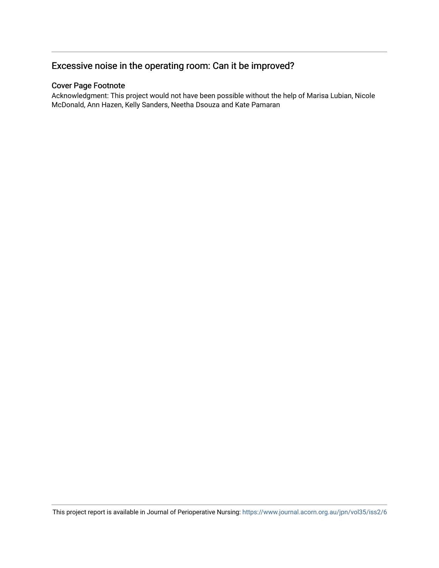## Excessive noise in the operating room: Can it be improved?

#### Cover Page Footnote

Acknowledgment: This project would not have been possible without the help of Marisa Lubian, Nicole McDonald, Ann Hazen, Kelly Sanders, Neetha Dsouza and Kate Pamaran

This project report is available in Journal of Perioperative Nursing:<https://www.journal.acorn.org.au/jpn/vol35/iss2/6>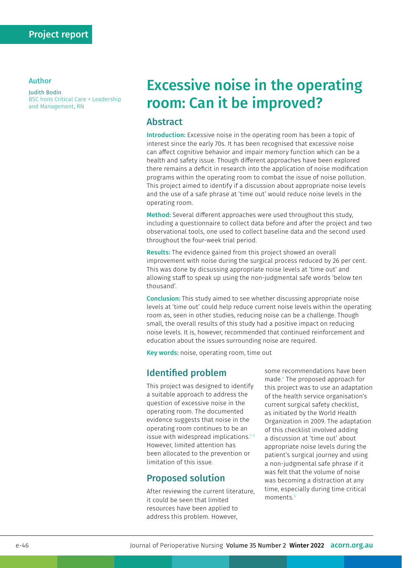#### Author

Judith Bodin BSC hons Critical Care + Leadership and Management, RN

# Excessive noise in the operating room: Can it be improved?

#### Abstract

Introduction: Excessive noise in the operating room has been a topic of interest since the early 70s. It has been recognised that excessive noise can affect cognitive behavior and impair memory function which can be a health and safety issue. Though different approaches have been explored there remains a deficit in research into the application of noise modification programs within the operating room to combat the issue of noise pollution. This project aimed to identify if a discussion about appropriate noise levels and the use of a safe phrase at 'time out' would reduce noise levels in the operating room.

Method: Several different approaches were used throughout this study, including a questionnaire to collect data before and after the project and two observational tools, one used to collect baseline data and the second used throughout the four-week trial period.

Results: The evidence gained from this project showed an overall improvement with noise during the surgical process reduced by 26 per cent. This was done by dicsussing appropriate noise levels at 'time out' and allowing staff to speak up using the non-judgmental safe words 'below ten thousand'.

Conclusion: This study aimed to see whether discussing appropriate noise levels at 'time out' could help reduce current noise levels within the operating room as, seen in other studies, reducing noise can be a challenge. Though small, the overall results of this study had a positive impact on reducing noise levels. It is, however, recommended that continued reinforcement and education about the issues surrounding noise are required.

Key words: noise, operating room, time out

## Identified problem

This project was designed to identify a suitable approach to address the question of excessive noise in the operating room. The documented evidence suggests that noise in the operating room continues to be an issue with widespread implications. $1-3$ However, limited attention has been allocated to the prevention or limitation of this issue.

#### Proposed solution

After reviewing the current literature, it could be seen that limited resources have been applied to address this problem. However,

some recommendations have been made.4 The proposed approach for this project was to use an adaptation of the health service organisation's current surgical safety checklist, as initiated by the World Health Organization in 2009. The adaptation of this checklist involved adding a discussion at 'time out' about appropriate noise levels during the patient's surgical journey and using a non-judgmental safe phrase if it was felt that the volume of noise was becoming a distraction at any time, especially during time critical moments.<sup>5</sup>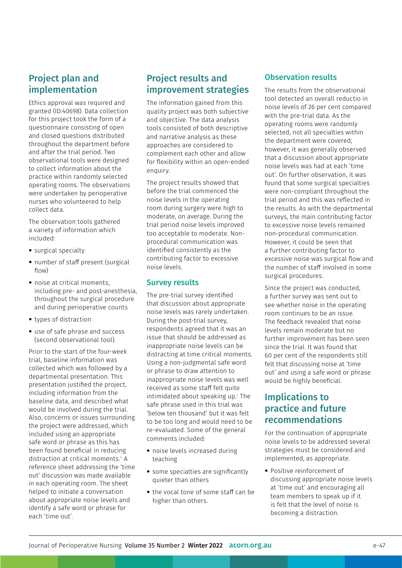# Project plan and implementation

Ethics approval was required and granted (ID:40698). Data collection for this project took the form of a questionnaire consisting of open and closed questions distributed throughout the department before and after the trial period. Two observational tools were designed to collect information about the practice within randomly selected operating rooms. The observations were undertaken by perioperative nurses who volunteered to help collect data.

The observation tools gathered a variety of information which included:

- surgical specialty
- number of staff present (surgical flow)
- noise at critical moments, including pre- and post-anesthesia, throughout the surgical procedure and during perioperative counts
- types of distraction
- use of safe phrase and success (second observational tool).

Prior to the start of the four-week trial, baseline information was collected which was followed by a departmental presentation. This presentation justified the project, including information from the baseline data, and described what would be involved during the trial. Also, concerns or issues surrounding the project were addressed, which included using an appropriate safe word or phrase as this has been found beneficial in reducing distraction at critical moments.6 A reference sheet addressing the 'time out' discussion was made available in each operating room. The sheet helped to initiate a conversation about appropriate noise levels and identify a safe word or phrase for each 'time out'.

## Project results and improvement strategies

The information gained from this quality project was both subjective and objective. The data analysis tools consisted of both descriptive and narrative analysis as these approaches are considered to complement each other and allow for flexibility within an open-ended enquiry.

The project results showed that before the trial commenced the noise levels in the operating room during surgery were high to moderate, on average. During the trial period noise levels improved too acceptable to moderate. Nonprocedural communication was identified consistently as the contributing factor to excessive noise levels.

#### Survey results

The pre-trial survey identified that discussion about appropriate noise levels was rarely undertaken. During the post-trial survey, respondents agreed that it was an issue that should be addressed as inappropriate noise levels can be distracting at time critical moments. Using a non-judgmental safe word or phrase to draw attention to inappropriate noise levels was well received as some staff felt quite intimidated about speaking up.7 The safe phrase used in this trial was 'below ten thousand' but it was felt to be too long and would need to be re-evaluated. Some of the general comments included:

- noise levels increased during teaching
- some specialties are significantly quieter than others
- the vocal tone of some staff can be higher than others.

#### Observation results

The results from the observational tool detected an overall reductio in noise levels of 26 per cent compared with the pre-trial data. As the operating rooms were randomly selected, not all specialties within the department were covered; however, it was generally observed that a discussion about appropriate noise levels was had at each 'time out'. On further observation, it was found that some surgical specialties were non-compliant throughout the trial period and this was reflected in the results. As with the departmental surveys, the main contributing factor to excessive noise levels remained non-procedural communication. However, it could be seen that a further contributing factor to excessive noise was surgical flow and the number of staff involved in some surgical procedures.

Since the project was conducted, a further survey was sent out to see whether noise in the operating room continues to be an issue. The feedback revealed that noise levels remain moderate but no further improvement has been seen since the trial. It was found that 60 per cent of the respondents still felt that discussing noise at 'time out' and using a safe word or phrase would be highly beneficial.

# Implications to practice and future recommendations

For the continuation of appropriate noise levels to be addressed several strategies must be considered and implemented, as appropriate.

• Positive reinforcement of discussing appropriate noise levels at 'time out' and encouraging all team members to speak up if it is felt that the level of noise is becoming a distraction.